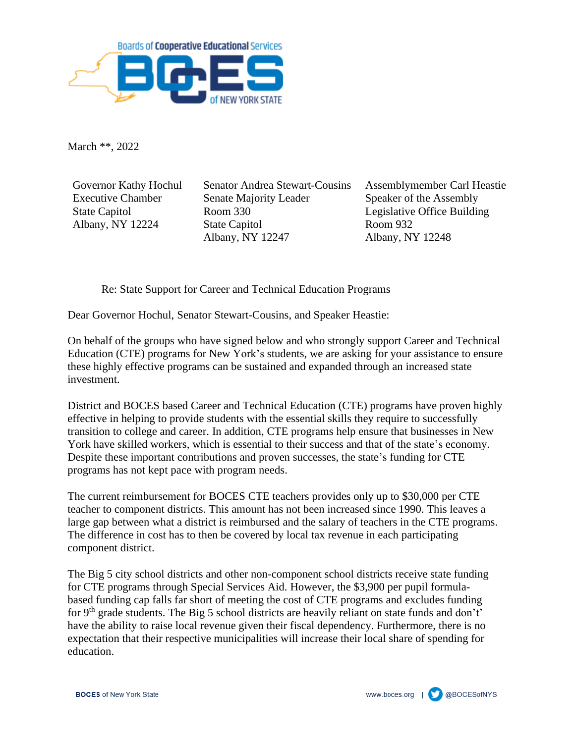

March \*\*, 2022

Governor Kathy Hochul Executive Chamber State Capitol Albany, NY 12224

Senator Andrea Stewart-Cousins Senate Majority Leader Room 330 State Capitol Albany, NY 12247

Assemblymember Carl Heastie Speaker of the Assembly Legislative Office Building Room 932 Albany, NY 12248

Re: State Support for Career and Technical Education Programs

Dear Governor Hochul, Senator Stewart-Cousins, and Speaker Heastie:

On behalf of the groups who have signed below and who strongly support Career and Technical Education (CTE) programs for New York's students, we are asking for your assistance to ensure these highly effective programs can be sustained and expanded through an increased state investment.

District and BOCES based Career and Technical Education (CTE) programs have proven highly effective in helping to provide students with the essential skills they require to successfully transition to college and career. In addition, CTE programs help ensure that businesses in New York have skilled workers, which is essential to their success and that of the state's economy. Despite these important contributions and proven successes, the state's funding for CTE programs has not kept pace with program needs.

The current reimbursement for BOCES CTE teachers provides only up to \$30,000 per CTE teacher to component districts. This amount has not been increased since 1990. This leaves a large gap between what a district is reimbursed and the salary of teachers in the CTE programs. The difference in cost has to then be covered by local tax revenue in each participating component district.

The Big 5 city school districts and other non-component school districts receive state funding for CTE programs through Special Services Aid. However, the \$3,900 per pupil formulabased funding cap falls far short of meeting the cost of CTE programs and excludes funding for 9<sup>th</sup> grade students. The Big 5 school districts are heavily reliant on state funds and don't' have the ability to raise local revenue given their fiscal dependency. Furthermore, there is no expectation that their respective municipalities will increase their local share of spending for education.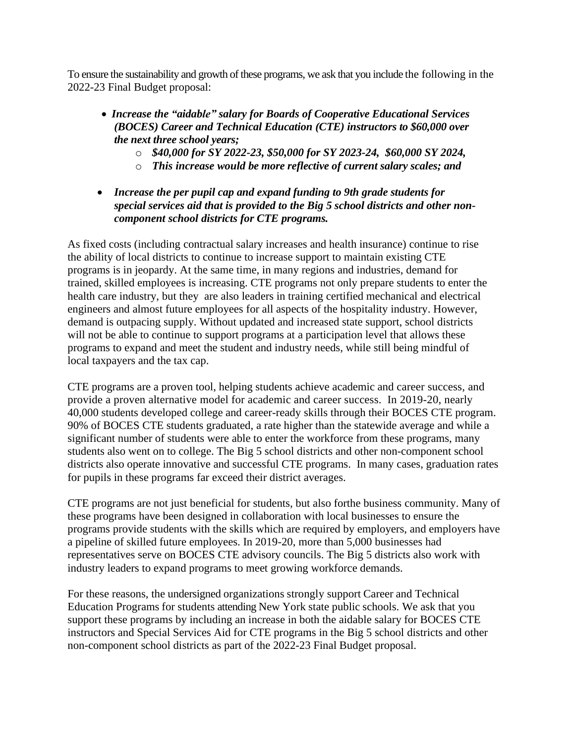To ensure the sustainability and growth of these programs, we ask that you include the following in the 2022-23 Final Budget proposal:

- *Increase the "aidable" salary for Boards of Cooperative Educational Services (BOCES) Career and Technical Education (CTE) instructors to \$60,000 over the next three school years;*
	- o *\$40,000 for SY 2022-23, \$50,000 for SY 2023-24, \$60,000 SY 2024,*
	- o *This increase would be more reflective of current salary scales; and*
- *Increase the per pupil cap and expand funding to 9th grade students for special services aid that is provided to the Big 5 school districts and other noncomponent school districts for CTE programs.*

As fixed costs (including contractual salary increases and health insurance) continue to rise the ability of local districts to continue to increase support to maintain existing CTE programs is in jeopardy. At the same time, in many regions and industries, demand for trained, skilled employees is increasing. CTE programs not only prepare students to enter the health care industry, but they are also leaders in training certified mechanical and electrical engineers and almost future employees for all aspects of the hospitality industry. However, demand is outpacing supply. Without updated and increased state support, school districts will not be able to continue to support programs at a participation level that allows these programs to expand and meet the student and industry needs, while still being mindful of local taxpayers and the tax cap.

CTE programs are a proven tool, helping students achieve academic and career success, and provide a proven alternative model for academic and career success. In 2019-20, nearly 40,000 students developed college and career-ready skills through their BOCES CTE program. 90% of BOCES CTE students graduated, a rate higher than the statewide average and while a significant number of students were able to enter the workforce from these programs, many students also went on to college. The Big 5 school districts and other non-component school districts also operate innovative and successful CTE programs. In many cases, graduation rates for pupils in these programs far exceed their district averages.

CTE programs are not just beneficial for students, but also forthe business community. Many of these programs have been designed in collaboration with local businesses to ensure the programs provide students with the skills which are required by employers, and employers have a pipeline of skilled future employees. In 2019-20, more than 5,000 businesses had representatives serve on BOCES CTE advisory councils. The Big 5 districts also work with industry leaders to expand programs to meet growing workforce demands.

For these reasons, the undersigned organizations strongly support Career and Technical Education Programs for students attending New York state public schools. We ask that you support these programs by including an increase in both the aidable salary for BOCES CTE instructors and Special Services Aid for CTE programs in the Big 5 school districts and other non-component school districts as part of the 2022-23 Final Budget proposal.